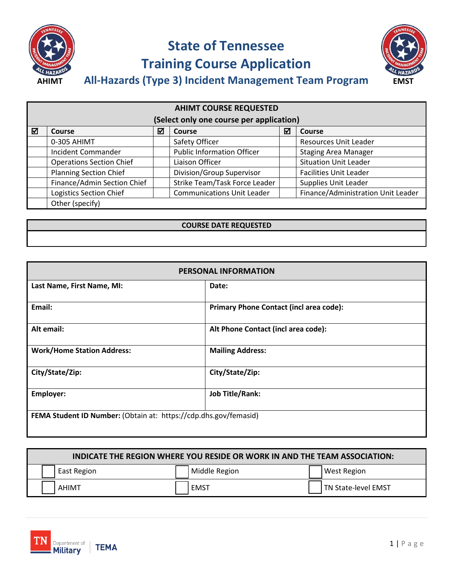

## **State of Tennessee Training Course Application**



**All-Hazards (Type 3) Incident Management Team Program AHIMT EMST**

| <b>AHIMT COURSE REQUESTED</b>            |                                 |   |                                   |   |                                    |  |
|------------------------------------------|---------------------------------|---|-----------------------------------|---|------------------------------------|--|
| (Select only one course per application) |                                 |   |                                   |   |                                    |  |
| ⊠                                        | Course                          | ☑ | <b>Course</b>                     | ☑ | <b>Course</b>                      |  |
|                                          | 0-305 AHIMT                     |   | Safety Officer                    |   | Resources Unit Leader              |  |
|                                          | <b>Incident Commander</b>       |   | <b>Public Information Officer</b> |   | <b>Staging Area Manager</b>        |  |
|                                          | <b>Operations Section Chief</b> |   | Liaison Officer                   |   | <b>Situation Unit Leader</b>       |  |
|                                          | <b>Planning Section Chief</b>   |   | Division/Group Supervisor         |   | <b>Facilities Unit Leader</b>      |  |
|                                          | Finance/Admin Section Chief     |   | Strike Team/Task Force Leader     |   | Supplies Unit Leader               |  |
|                                          | <b>Logistics Section Chief</b>  |   | <b>Communications Unit Leader</b> |   | Finance/Administration Unit Leader |  |
|                                          | Other (specify)                 |   |                                   |   |                                    |  |

#### **COURSE DATE REQUESTED**

| <b>PERSONAL INFORMATION</b>                                      |                                                |  |  |
|------------------------------------------------------------------|------------------------------------------------|--|--|
| Last Name, First Name, MI:                                       | Date:                                          |  |  |
| Email:                                                           | <b>Primary Phone Contact (incl area code):</b> |  |  |
| Alt email:                                                       | Alt Phone Contact (incl area code):            |  |  |
| <b>Work/Home Station Address:</b>                                | <b>Mailing Address:</b>                        |  |  |
| City/State/Zip:                                                  | City/State/Zip:                                |  |  |
| <b>Employer:</b>                                                 | <b>Job Title/Rank:</b>                         |  |  |
| FEMA Student ID Number: (Obtain at: https://cdp.dhs.gov/femasid) |                                                |  |  |

| <b>INDICATE THE REGION WHERE YOU RESIDE OR WORK IN AND THE TEAM ASSOCIATION:</b> |               |                     |  |  |
|----------------------------------------------------------------------------------|---------------|---------------------|--|--|
| East Region                                                                      | Middle Region | West Region         |  |  |
| AHIMT                                                                            | EMST          | TN State-level EMST |  |  |

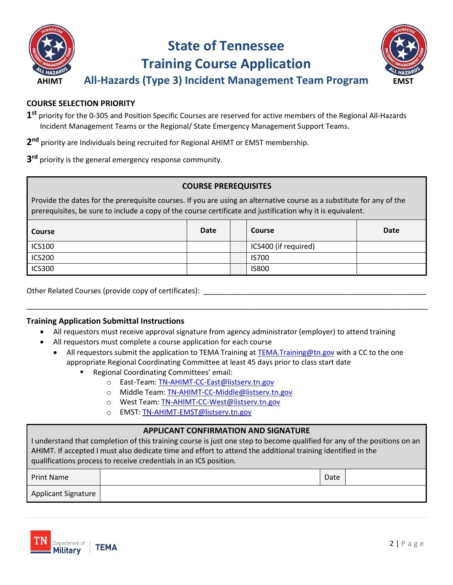

### **State of Tennessee Training Course Application**



**All-Hazards (Type 3) Incident Management Team Program AHIMT EMST**

#### **COURSE SELECTION PRIORITY**

- **1st** priority for the 0-305 and Position Specific Courses are reserved for active members of the Regional All-Hazards Incident Management Teams or the Regional/ State Emergency Management Support Teams.
- **2nd** priority are Individuals being recruited for Regional AHIMT or EMST membership.
- **3rd** priority is the general emergency response community.

#### **COURSE PREREQUISITES**

Provide the dates for the prerequisite courses. If you are using an alternative course as a substitute for any of the prerequisites, be sure to include a copy of the course certificate and justification why it is equivalent.

| <b>Course</b> | Date | <b>Course</b>        | <b>Date</b> |
|---------------|------|----------------------|-------------|
| <b>ICS100</b> |      | ICS400 (if required) |             |
| <b>ICS200</b> |      | <b>IS700</b>         |             |
| <b>ICS300</b> |      | <b>IS800</b>         |             |

Other Related Courses (provide copy of certificates): \_\_\_\_\_\_\_\_\_\_\_\_\_\_\_\_\_\_\_\_\_\_\_\_\_\_

#### **Training Application Submittal Instructions**

- All requestors must receive approval signature from agency administrator (employer) to attend training
- All requestors must complete a course application for each course
	- All requestors submit the application to TEMA Training at TEMA. Training@tn.gov with a CC to the one appropriate Regional Coordinating Committee at least 45 days prior to class start date

\_\_\_\_\_\_\_\_\_\_\_\_\_\_\_\_\_\_\_\_\_\_\_\_\_\_\_\_\_\_\_\_\_\_\_\_\_\_\_\_\_\_\_\_\_\_\_\_\_\_\_\_\_\_\_\_\_\_\_\_\_\_\_\_\_\_\_\_\_\_\_\_\_\_\_\_\_\_\_\_\_\_\_\_\_\_\_\_\_\_\_\_\_\_\_\_\_\_\_

- Regional Coordinating Committees' email:
	- o East-Team: [TN-AHIMT-CC-East@listserv.tn.gov](mailto:TN-AHIMT-CC-East@listserv.tn.gov)
	- o Middle Team: [TN-AHIMT-CC-Middle@listserv.tn.gov](mailto:TN-AHIMT-CC-Middle@listserv.tn.gov)
	- o West Team: [TN-AHIMT-CC-West@listserv.tn.gov](mailto:TN-AHIMT-CC-West@listserv.tn.gov)
	- o EMST[: TN-AHIMT-EMST@listserv.tn.gov](mailto:TN-AHIMT-EMST@listserv.tn.gov)

#### **APPLICANT CONFIRMATION AND SIGNATURE**

I understand that completion of this training course is just one step to become qualified for any of the positions on an AHIMT. If accepted I must also dedicate time and effort to attend the additional training identified in the qualifications process to receive credentials in an ICS position.

| <b>Print Name</b>   | Date |  |
|---------------------|------|--|
| Applicant Signature |      |  |